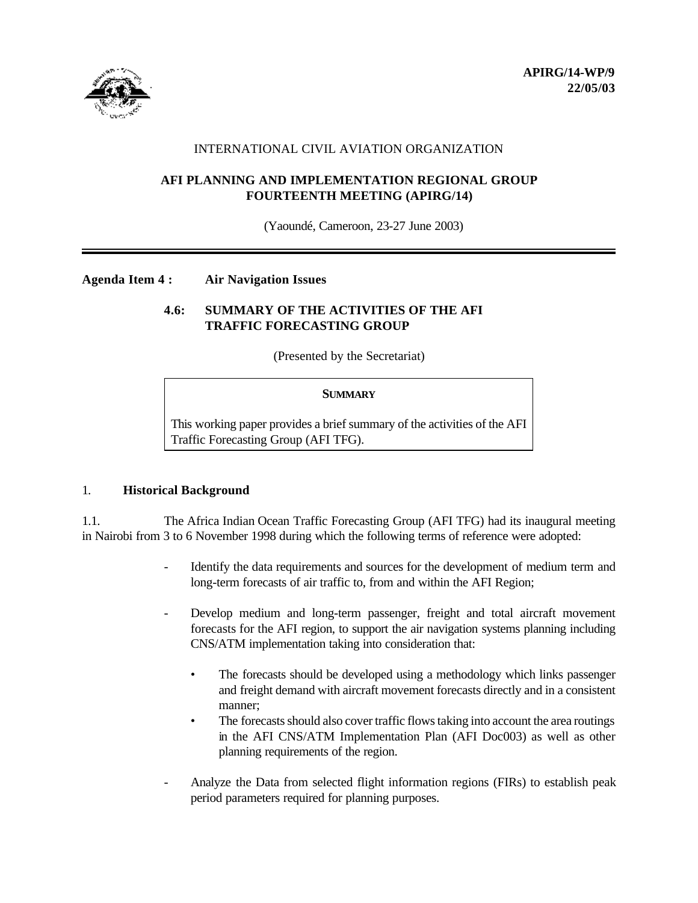

## INTERNATIONAL CIVIL AVIATION ORGANIZATION

## **AFI PLANNING AND IMPLEMENTATION REGIONAL GROUP FOURTEENTH MEETING (APIRG/14)**

(Yaoundé, Cameroon, 23-27 June 2003)

#### **Agenda Item 4 : Air Navigation Issues**

# **4.6: SUMMARY OF THE ACTIVITIES OF THE AFI TRAFFIC FORECASTING GROUP**

(Presented by the Secretariat)

#### **SUMMARY**

This working paper provides a brief summary of the activities of the AFI Traffic Forecasting Group (AFI TFG).

#### 1. **Historical Background**

1.1. The Africa Indian Ocean Traffic Forecasting Group (AFI TFG) had its inaugural meeting in Nairobi from 3 to 6 November 1998 during which the following terms of reference were adopted:

- Identify the data requirements and sources for the development of medium term and long-term forecasts of air traffic to, from and within the AFI Region;
- Develop medium and long-term passenger, freight and total aircraft movement forecasts for the AFI region, to support the air navigation systems planning including CNS/ATM implementation taking into consideration that:
	- The forecasts should be developed using a methodology which links passenger and freight demand with aircraft movement forecasts directly and in a consistent manner;
	- The forecasts should also cover traffic flows taking into account the area routings in the AFI CNS/ATM Implementation Plan (AFI Doc003) as well as other planning requirements of the region.
- Analyze the Data from selected flight information regions (FIRs) to establish peak period parameters required for planning purposes.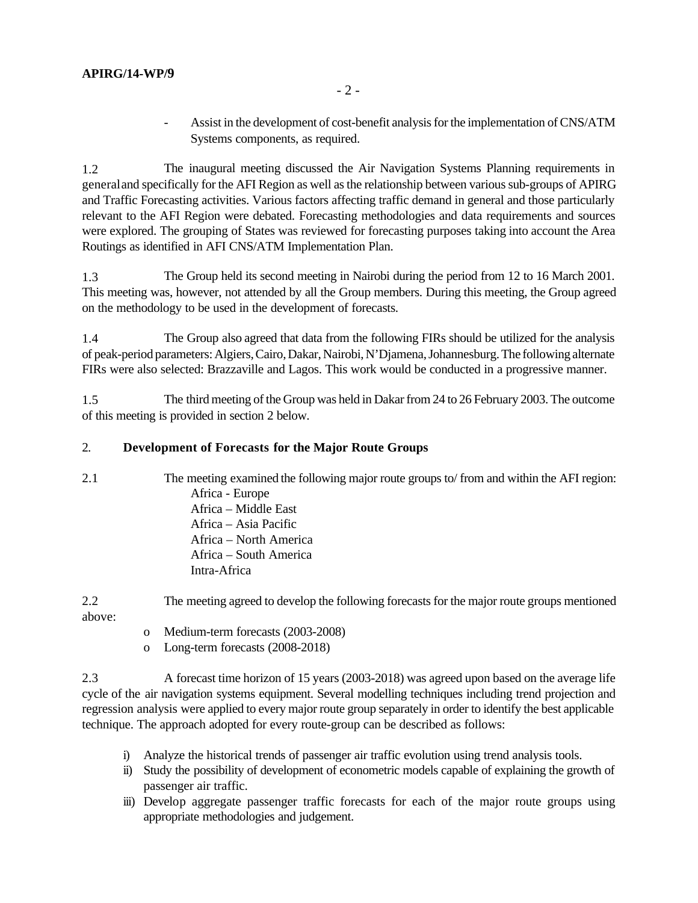- Assist in the development of cost-benefit analysis for the implementation of CNS/ATM Systems components, as required.

1.2 The inaugural meeting discussed the Air Navigation Systems Planning requirements in general and specifically for the AFI Region as well as the relationship between various sub-groups of APIRG and Traffic Forecasting activities. Various factors affecting traffic demand in general and those particularly relevant to the AFI Region were debated. Forecasting methodologies and data requirements and sources were explored. The grouping of States was reviewed for forecasting purposes taking into account the Area Routings as identified in AFI CNS/ATM Implementation Plan.

1.3 The Group held its second meeting in Nairobi during the period from 12 to 16 March 2001. This meeting was, however, not attended by all the Group members. During this meeting, the Group agreed on the methodology to be used in the development of forecasts.

1.4 The Group also agreed that data from the following FIRs should be utilized for the analysis of peak-period parameters: Algiers, Cairo, Dakar, Nairobi, N'Djamena, Johannesburg. The following alternate FIRs were also selected: Brazzaville and Lagos. This work would be conducted in a progressive manner.

1.5 The third meeting of the Group was held in Dakar from 24 to 26 February 2003. The outcome of this meeting is provided in section 2 below.

# 2. **Development of Forecasts for the Major Route Groups**

2.1 The meeting examined the following major route groups to/ from and within the AFI region: Africa - Europe Africa – Middle East Africa – Asia Pacific Africa – North America Africa – South America Intra-Africa

2.2 The meeting agreed to develop the following forecasts for the major route groups mentioned above:

- o Medium-term forecasts (2003-2008)
- o Long-term forecasts (2008-2018)

2.3 A forecast time horizon of 15 years (2003-2018) was agreed upon based on the average life cycle of the air navigation systems equipment. Several modelling techniques including trend projection and regression analysis were applied to every major route group separately in order to identify the best applicable technique. The approach adopted for every route-group can be described as follows:

- i) Analyze the historical trends of passenger air traffic evolution using trend analysis tools.
- ii) Study the possibility of development of econometric models capable of explaining the growth of passenger air traffic.
- iii) Develop aggregate passenger traffic forecasts for each of the major route groups using appropriate methodologies and judgement.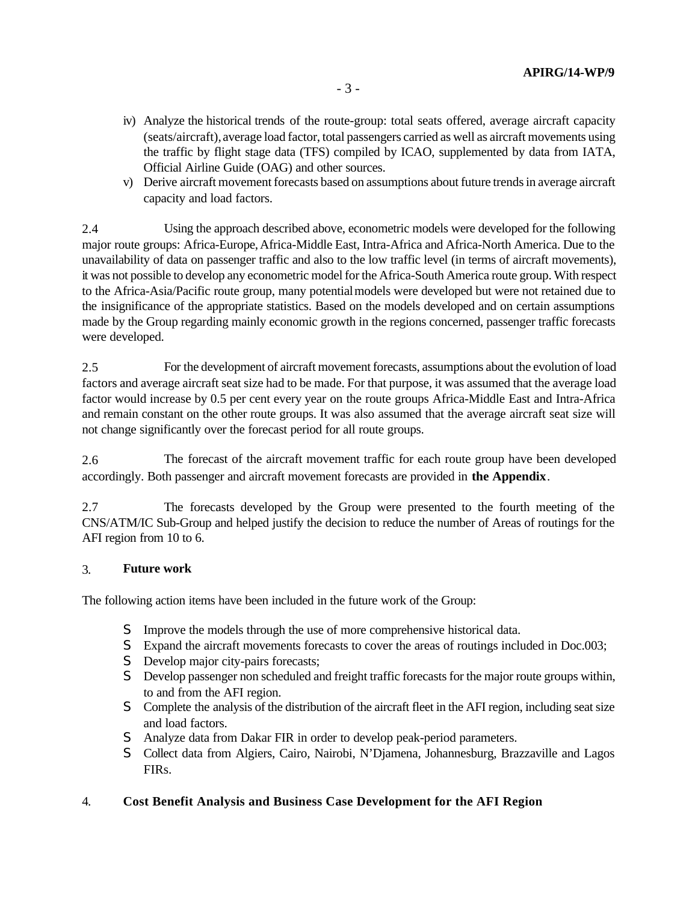- iv) Analyze the historical trends of the route-group: total seats offered, average aircraft capacity (seats/aircraft), average load factor, total passengers carried as well as aircraft movements using the traffic by flight stage data (TFS) compiled by ICAO, supplemented by data from IATA, Official Airline Guide (OAG) and other sources.
- v) Derive aircraft movement forecasts based on assumptions about future trends in average aircraft capacity and load factors.

2.4 Using the approach described above, econometric models were developed for the following major route groups: Africa-Europe, Africa-Middle East, Intra-Africa and Africa-North America. Due to the unavailability of data on passenger traffic and also to the low traffic level (in terms of aircraft movements), it was not possible to develop any econometric model for the Africa-South America route group. With respect to the Africa-Asia/Pacific route group, many potential models were developed but were not retained due to the insignificance of the appropriate statistics. Based on the models developed and on certain assumptions made by the Group regarding mainly economic growth in the regions concerned, passenger traffic forecasts were developed.

2.5 For the development of aircraft movement forecasts, assumptions about the evolution of load factors and average aircraft seat size had to be made. For that purpose, it was assumed that the average load factor would increase by 0.5 per cent every year on the route groups Africa-Middle East and Intra-Africa and remain constant on the other route groups. It was also assumed that the average aircraft seat size will not change significantly over the forecast period for all route groups.

2.6 The forecast of the aircraft movement traffic for each route group have been developed accordingly. Both passenger and aircraft movement forecasts are provided in **the Appendix**.

2.7 The forecasts developed by the Group were presented to the fourth meeting of the CNS/ATM/IC Sub-Group and helped justify the decision to reduce the number of Areas of routings for the AFI region from 10 to 6.

#### 3. **Future work**

The following action items have been included in the future work of the Group:

- S Improve the models through the use of more comprehensive historical data.
- S Expand the aircraft movements forecasts to cover the areas of routings included in Doc.003;
- S Develop major city-pairs forecasts;
- S Develop passenger non scheduled and freight traffic forecasts for the major route groups within, to and from the AFI region.
- S Complete the analysis of the distribution of the aircraft fleet in the AFI region, including seat size and load factors.
- S Analyze data from Dakar FIR in order to develop peak-period parameters.
- S Collect data from Algiers, Cairo, Nairobi, N'Djamena, Johannesburg, Brazzaville and Lagos FIRs.

# 4. **Cost Benefit Analysis and Business Case Development for the AFI Region**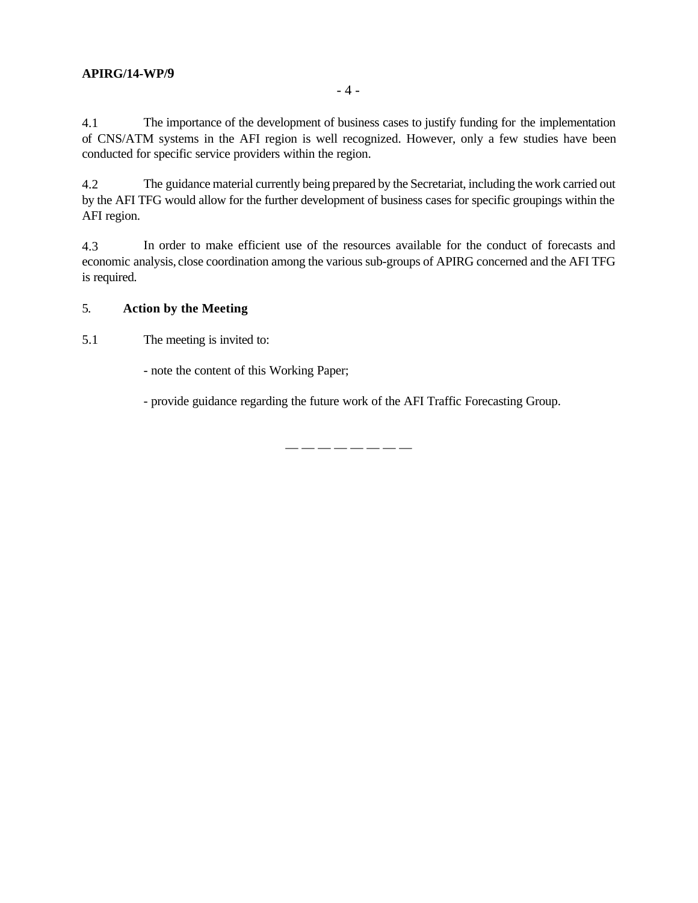# **APIRG/14-WP/9**

4.1 The importance of the development of business cases to justify funding for the implementation of CNS/ATM systems in the AFI region is well recognized. However, only a few studies have been conducted for specific service providers within the region.

4.2 The guidance material currently being prepared by the Secretariat, including the work carried out by the AFI TFG would allow for the further development of business cases for specific groupings within the AFI region.

4.3 In order to make efficient use of the resources available for the conduct of forecasts and economic analysis, close coordination among the various sub-groups of APIRG concerned and the AFI TFG is required.

# 5. **Action by the Meeting**

5.1 The meeting is invited to:

- note the content of this Working Paper;

- provide guidance regarding the future work of the AFI Traffic Forecasting Group.

— — — — — — — —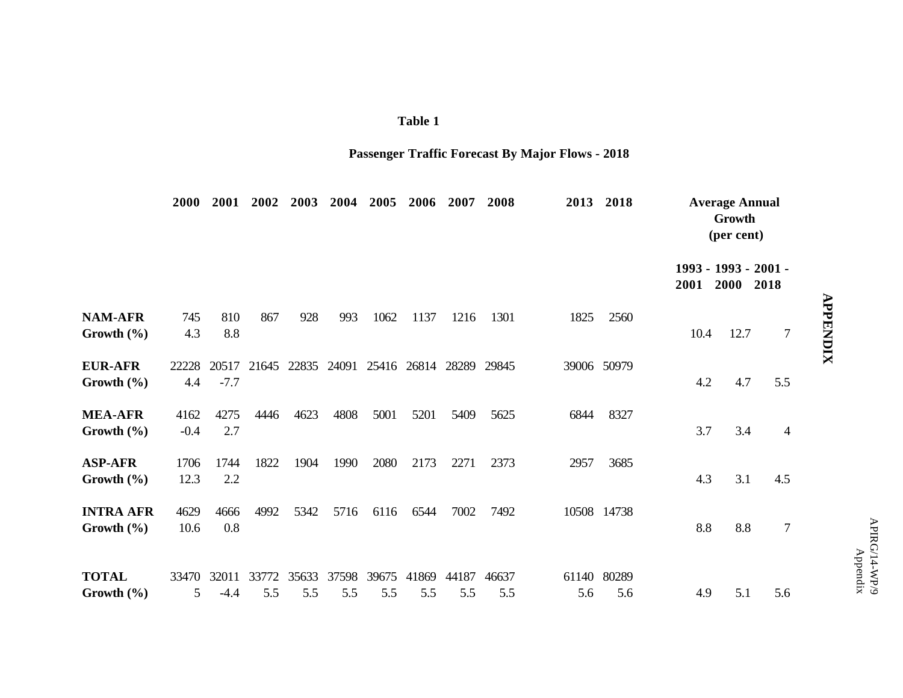| m |  |
|---|--|
|   |  |

# **Passenger Traffic Forecast By Major Flows - 2018**

|                                    | <b>2000</b>    | 2001            | 2002         | 2003         | 2004         | 2005         | 2006                                            | 2007         | 2008         | 2013         | 2018         | <b>Average Annual</b><br>Growth<br>(per cent) |                              |                  |
|------------------------------------|----------------|-----------------|--------------|--------------|--------------|--------------|-------------------------------------------------|--------------|--------------|--------------|--------------|-----------------------------------------------|------------------------------|------------------|
|                                    |                |                 |              |              |              |              |                                                 |              |              |              |              | 2001                                          | 1993 - 1993 - 2001 -<br>2000 | 2018             |
| <b>NAM-AFR</b><br>Growth $(\% )$   | 745<br>4.3     | 810<br>8.8      | 867          | 928          | 993          | 1062         | 1137                                            | 1216         | 1301         | 1825         | 2560         | 10.4                                          | 12.7                         | 7                |
| <b>EUR-AFR</b><br>Growth $(\% )$   | 22228<br>4.4   | $-7.7$          |              |              |              |              | 20517 21645 22835 24091 25416 26814 28289 29845 |              |              |              | 39006 50979  | 4.2                                           | 4.7                          | 5.5              |
| <b>MEA-AFR</b><br>Growth $(\% )$   | 4162<br>$-0.4$ | 4275<br>2.7     | 4446         | 4623         | 4808         | 5001         | 5201                                            | 5409         | 5625         | 6844         | 8327         | 3.7                                           | 3.4                          | $\overline{4}$   |
| <b>ASP-AFR</b><br>Growth $(\% )$   | 1706<br>12.3   | 1744<br>2.2     | 1822         | 1904         | 1990         | 2080         | 2173                                            | 2271         | 2373         | 2957         | 3685         | 4.3                                           | 3.1                          | 4.5              |
| <b>INTRA AFR</b><br>Growth $(\% )$ | 4629<br>10.6   | 4666<br>0.8     | 4992         | 5342         | 5716         | 6116         | 6544                                            | 7002         | 7492         |              | 10508 14738  | 8.8                                           | 8.8                          | $\boldsymbol{7}$ |
| <b>TOTAL</b><br>Growth $(\% )$     | 33470<br>5     | 32011<br>$-4.4$ | 33772<br>5.5 | 35633<br>5.5 | 37598<br>5.5 | 39675<br>5.5 | 41869<br>5.5                                    | 44187<br>5.5 | 46637<br>5.5 | 61140<br>5.6 | 80289<br>5.6 | 4.9                                           | 5.1                          | 5.6              |

# **APPENDIX APPENDIX**